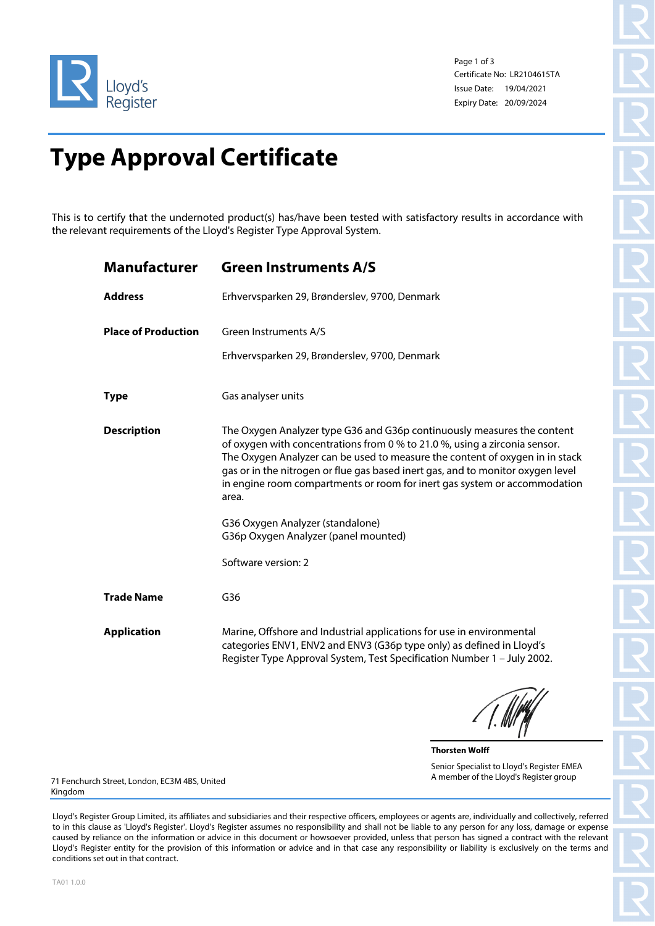

Page 1 of 3 Certificate No: LR2104615TA Issue Date: 19/04/2021 Expiry Date: 20/09/2024

## **Type Approval Certificate**

This is to certify that the undernoted product(s) has/have been tested with satisfactory results in accordance with the relevant requirements of the Lloyd's Register Type Approval System.

| <b>Manufacturer</b>        | <b>Green Instruments A/S</b>                                                                                                                                                                                                                                                                                                                                                                                   |
|----------------------------|----------------------------------------------------------------------------------------------------------------------------------------------------------------------------------------------------------------------------------------------------------------------------------------------------------------------------------------------------------------------------------------------------------------|
| <b>Address</b>             | Erhvervsparken 29, Brønderslev, 9700, Denmark                                                                                                                                                                                                                                                                                                                                                                  |
| <b>Place of Production</b> | Green Instruments A/S                                                                                                                                                                                                                                                                                                                                                                                          |
|                            | Erhvervsparken 29, Brønderslev, 9700, Denmark                                                                                                                                                                                                                                                                                                                                                                  |
| <b>Type</b>                | Gas analyser units                                                                                                                                                                                                                                                                                                                                                                                             |
| <b>Description</b>         | The Oxygen Analyzer type G36 and G36p continuously measures the content<br>of oxygen with concentrations from 0 % to 21.0 %, using a zirconia sensor.<br>The Oxygen Analyzer can be used to measure the content of oxygen in in stack<br>gas or in the nitrogen or flue gas based inert gas, and to monitor oxygen level<br>in engine room compartments or room for inert gas system or accommodation<br>area. |
|                            | G36 Oxygen Analyzer (standalone)<br>G36p Oxygen Analyzer (panel mounted)                                                                                                                                                                                                                                                                                                                                       |
|                            | Software version: 2                                                                                                                                                                                                                                                                                                                                                                                            |
| <b>Trade Name</b>          | G36                                                                                                                                                                                                                                                                                                                                                                                                            |
| <b>Application</b>         | Marine, Offshore and Industrial applications for use in environmental<br>categories ENV1, ENV2 and ENV3 (G36p type only) as defined in Lloyd's<br>Register Type Approval System, Test Specification Number 1 - July 2002.                                                                                                                                                                                      |
|                            |                                                                                                                                                                                                                                                                                                                                                                                                                |

**Thorsten Wolff** Senior Specialist to Lloyd's Register EMEA A member of the Lloyd's Register group

71 Fenchurch Street, London, EC3M 4BS, United Kingdom

Lloyd's Register Group Limited, its affiliates and subsidiaries and their respective officers, employees or agents are, individually and collectively, referred to in this clause as 'Lloyd's Register'. Lloyd's Register assumes no responsibility and shall not be liable to any person for any loss, damage or expense caused by reliance on the information or advice in this document or howsoever provided, unless that person has signed a contract with the relevant Lloyd's Register entity for the provision of this information or advice and in that case any responsibility or liability is exclusively on the terms and conditions set out in that contract.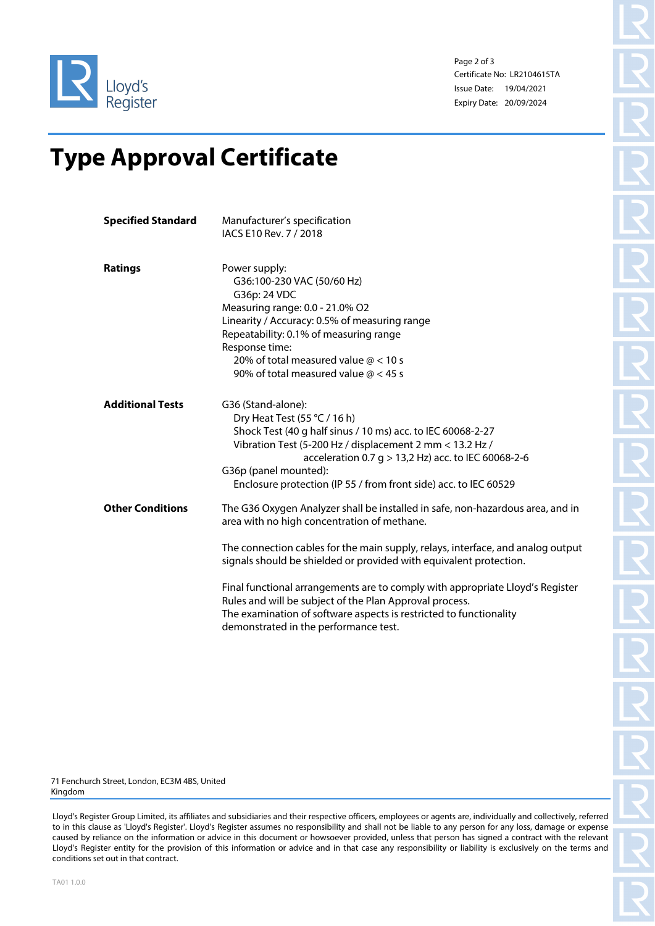

Page 2 of 3 Certificate No: LR2104615TA Issue Date: 19/04/2021 Expiry Date: 20/09/2024

## **Type Approval Certificate**

| Power supply:<br>G36:100-230 VAC (50/60 Hz)<br>G36p: 24 VDC<br>Measuring range: 0.0 - 21.0% O2<br>Linearity / Accuracy: 0.5% of measuring range<br>Repeatability: 0.1% of measuring range<br>Response time:<br>20% of total measured value $@ < 10$ s<br>90% of total measured value $@ < 45$ s                                                                                                                                                                                                          |
|----------------------------------------------------------------------------------------------------------------------------------------------------------------------------------------------------------------------------------------------------------------------------------------------------------------------------------------------------------------------------------------------------------------------------------------------------------------------------------------------------------|
| G36 (Stand-alone):<br>Dry Heat Test (55 $°C/16 h$ )<br>Shock Test (40 g half sinus / 10 ms) acc. to IEC 60068-2-27<br>Vibration Test (5-200 Hz / displacement 2 mm < 13.2 Hz /<br>acceleration 0.7 g > 13,2 Hz) acc. to IEC 60068-2-6<br>G36p (panel mounted):<br>Enclosure protection (IP 55 / from front side) acc. to IEC 60529                                                                                                                                                                       |
| The G36 Oxygen Analyzer shall be installed in safe, non-hazardous area, and in<br>area with no high concentration of methane.<br>The connection cables for the main supply, relays, interface, and analog output<br>signals should be shielded or provided with equivalent protection.<br>Final functional arrangements are to comply with appropriate Lloyd's Register<br>Rules and will be subject of the Plan Approval process.<br>The examination of software aspects is restricted to functionality |
|                                                                                                                                                                                                                                                                                                                                                                                                                                                                                                          |

71 Fenchurch Street, London, EC3M 4BS, United Kingdom

Lloyd's Register Group Limited, its affiliates and subsidiaries and their respective officers, employees or agents are, individually and collectively, referred to in this clause as 'Lloyd's Register'. Lloyd's Register assumes no responsibility and shall not be liable to any person for any loss, damage or expense caused by reliance on the information or advice in this document or howsoever provided, unless that person has signed a contract with the relevant Lloyd's Register entity for the provision of this information or advice and in that case any responsibility or liability is exclusively on the terms and conditions set out in that contract.